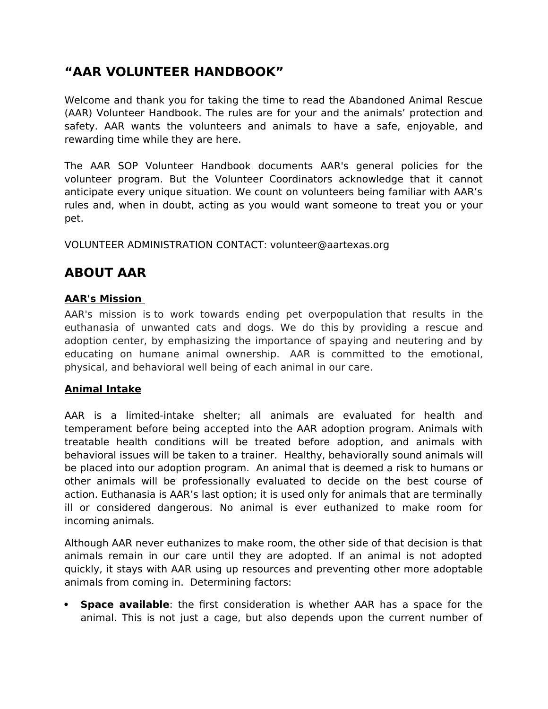# **"AAR VOLUNTEER HANDBOOK"**

Welcome and thank you for taking the time to read the Abandoned Animal Rescue (AAR) Volunteer Handbook. The rules are for your and the animals' protection and safety. AAR wants the volunteers and animals to have a safe, enjoyable, and rewarding time while they are here.

The AAR SOP Volunteer Handbook documents AAR's general policies for the volunteer program. But the Volunteer Coordinators acknowledge that it cannot anticipate every unique situation. We count on volunteers being familiar with AAR's rules and, when in doubt, acting as you would want someone to treat you or your pet.

VOLUNTEER ADMINISTRATION CONTACT: volunteer@aartexas.org

# **ABOUT AAR**

## **AAR's Mission**

AAR's mission is to work towards ending pet overpopulation that results in the euthanasia of unwanted cats and dogs. We do this by providing a rescue and adoption center, by emphasizing the importance of spaying and neutering and by educating on humane animal ownership. AAR is committed to the emotional, physical, and behavioral well being of each animal in our care.

#### **Animal Intake**

AAR is a limited-intake shelter; all animals are evaluated for health and temperament before being accepted into the AAR adoption program. Animals with treatable health conditions will be treated before adoption, and animals with behavioral issues will be taken to a trainer. Healthy, behaviorally sound animals will be placed into our adoption program. An animal that is deemed a risk to humans or other animals will be professionally evaluated to decide on the best course of action. Euthanasia is AAR's last option; it is used only for animals that are terminally ill or considered dangerous. No animal is ever euthanized to make room for incoming animals.

Although AAR never euthanizes to make room, the other side of that decision is that animals remain in our care until they are adopted. If an animal is not adopted quickly, it stays with AAR using up resources and preventing other more adoptable animals from coming in. Determining factors:

 **Space available**: the first consideration is whether AAR has a space for the animal. This is not just a cage, but also depends upon the current number of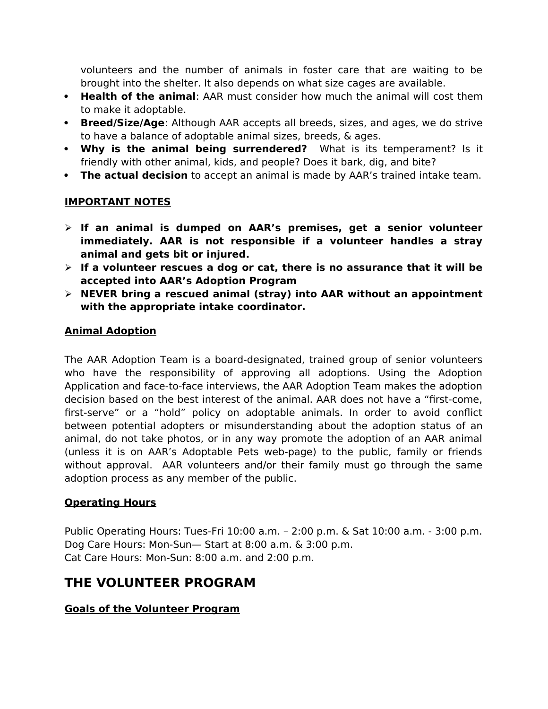volunteers and the number of animals in foster care that are waiting to be brought into the shelter. It also depends on what size cages are available.

- **Health of the animal**: AAR must consider how much the animal will cost them to make it adoptable.
- **Breed/Size/Age**: Although AAR accepts all breeds, sizes, and ages, we do strive to have a balance of adoptable animal sizes, breeds, & ages.
- **Why is the animal being surrendered?** What is its temperament? Is it friendly with other animal, kids, and people? Does it bark, dig, and bite?
- **The actual decision** to accept an animal is made by AAR's trained intake team.

## **IMPORTANT NOTES**

- **If an animal is dumped on AAR's premises, get a senior volunteer immediately. AAR is not responsible if a volunteer handles a stray animal and gets bit or injured.**
- **If a volunteer rescues a dog or cat, there is no assurance that it will be accepted into AAR's Adoption Program**
- **NEVER bring a rescued animal (stray) into AAR without an appointment with the appropriate intake coordinator.**

#### **Animal Adoption**

The AAR Adoption Team is a board-designated, trained group of senior volunteers who have the responsibility of approving all adoptions. Using the Adoption Application and face-to-face interviews, the AAR Adoption Team makes the adoption decision based on the best interest of the animal. AAR does not have a "first-come, first-serve" or a "hold" policy on adoptable animals. In order to avoid conflict between potential adopters or misunderstanding about the adoption status of an animal, do not take photos, or in any way promote the adoption of an AAR animal (unless it is on AAR's Adoptable Pets web-page) to the public, family or friends without approval. AAR volunteers and/or their family must go through the same adoption process as any member of the public.

#### **Operating Hours**

Public Operating Hours: Tues-Fri 10:00 a.m. – 2:00 p.m. & Sat 10:00 a.m. - 3:00 p.m. Dog Care Hours: Mon-Sun— Start at 8:00 a.m. & 3:00 p.m. Cat Care Hours: Mon-Sun: 8:00 a.m. and 2:00 p.m.

## **THE VOLUNTEER PROGRAM**

#### **Goals of the Volunteer Program**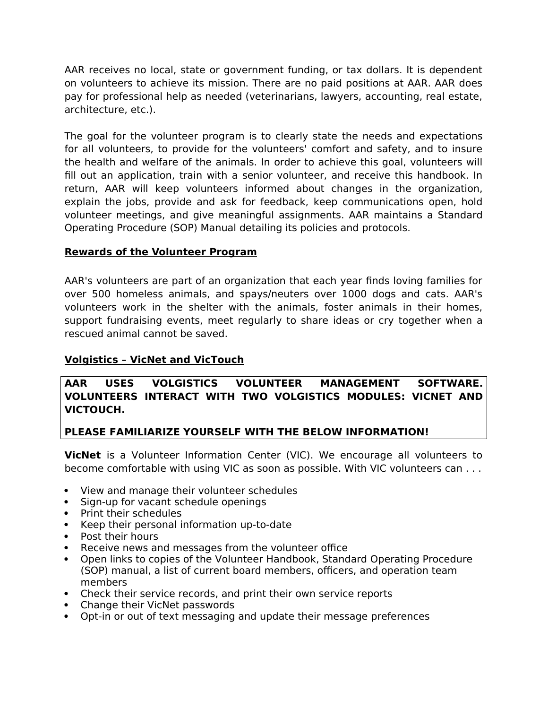AAR receives no local, state or government funding, or tax dollars. It is dependent on volunteers to achieve its mission. There are no paid positions at AAR. AAR does pay for professional help as needed (veterinarians, lawyers, accounting, real estate, architecture, etc.).

The goal for the volunteer program is to clearly state the needs and expectations for all volunteers, to provide for the volunteers' comfort and safety, and to insure the health and welfare of the animals. In order to achieve this goal, volunteers will fill out an application, train with a senior volunteer, and receive this handbook. In return, AAR will keep volunteers informed about changes in the organization, explain the jobs, provide and ask for feedback, keep communications open, hold volunteer meetings, and give meaningful assignments. AAR maintains a Standard Operating Procedure (SOP) Manual detailing its policies and protocols.

#### **Rewards of the Volunteer Program**

AAR's volunteers are part of an organization that each year finds loving families for over 500 homeless animals, and spays/neuters over 1000 dogs and cats. AAR's volunteers work in the shelter with the animals, foster animals in their homes, support fundraising events, meet regularly to share ideas or cry together when a rescued animal cannot be saved.

### **Volgistics – VicNet and VicTouch**

#### **AAR USES VOLGISTICS VOLUNTEER MANAGEMENT SOFTWARE. VOLUNTEERS INTERACT WITH TWO VOLGISTICS MODULES: VICNET AND VICTOUCH.**

#### **PLEASE FAMILIARIZE YOURSELF WITH THE BELOW INFORMATION!**

**VicNet** is a Volunteer Information Center (VIC). We encourage all volunteers to become comfortable with using VIC as soon as possible. With VIC volunteers can . . .

- View and manage their volunteer schedules
- Sign-up for vacant schedule openings
- Print their schedules
- Keep their personal information up-to-date
- Post their hours
- Receive news and messages from the volunteer office
- Open links to copies of the Volunteer Handbook, Standard Operating Procedure (SOP) manual, a list of current board members, officers, and operation team members
- Check their service records, and print their own service reports
- Change their VicNet passwords
- Opt-in or out of text messaging and update their message preferences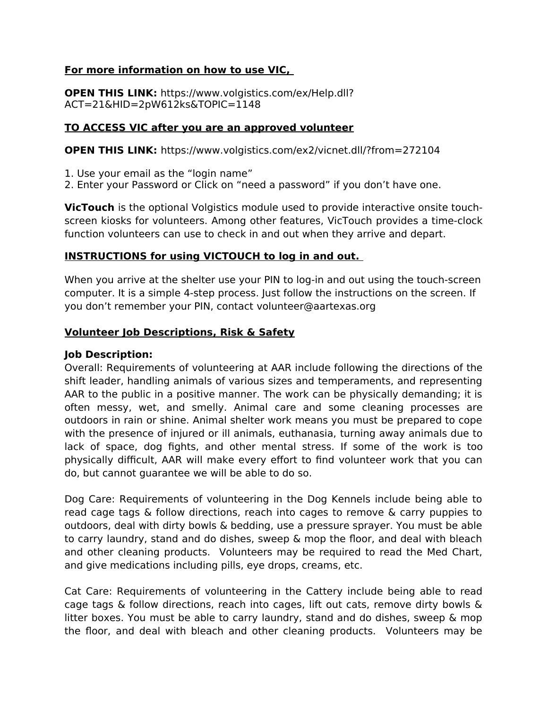#### **For more information on how to use VIC,**

**OPEN THIS LINK:** https://www.volgistics.com/ex/Help.dll? ACT=21&HID=2pW612ks&TOPIC=1148

#### **TO ACCESS VIC after you are an approved volunteer**

**OPEN THIS LINK:** https://www.volgistics.com/ex2/vicnet.dll/?from=272104

1. Use your email as the "login name"

2. Enter your Password or Click on "need a password" if you don't have one.

**VicTouch** is the optional Volgistics module used to provide interactive onsite touchscreen kiosks for volunteers. Among other features, VicTouch provides a time-clock function volunteers can use to check in and out when they arrive and depart.

#### **INSTRUCTIONS for using VICTOUCH to log in and out.**

When you arrive at the shelter use your PIN to log-in and out using the touch-screen computer. It is a simple 4-step process. Just follow the instructions on the screen. If you don't remember your PIN, contact volunteer@aartexas.org

#### **Volunteer Job Descriptions, Risk & Safety**

#### **Job Description:**

Overall: Requirements of volunteering at AAR include following the directions of the shift leader, handling animals of various sizes and temperaments, and representing AAR to the public in a positive manner. The work can be physically demanding; it is often messy, wet, and smelly. Animal care and some cleaning processes are outdoors in rain or shine. Animal shelter work means you must be prepared to cope with the presence of injured or ill animals, euthanasia, turning away animals due to lack of space, dog fights, and other mental stress. If some of the work is too physically difficult, AAR will make every effort to find volunteer work that you can do, but cannot guarantee we will be able to do so.

Dog Care: Requirements of volunteering in the Dog Kennels include being able to read cage tags & follow directions, reach into cages to remove & carry puppies to outdoors, deal with dirty bowls & bedding, use a pressure sprayer. You must be able to carry laundry, stand and do dishes, sweep & mop the floor, and deal with bleach and other cleaning products. Volunteers may be required to read the Med Chart, and give medications including pills, eye drops, creams, etc.

Cat Care: Requirements of volunteering in the Cattery include being able to read cage tags & follow directions, reach into cages, lift out cats, remove dirty bowls & litter boxes. You must be able to carry laundry, stand and do dishes, sweep & mop the floor, and deal with bleach and other cleaning products. Volunteers may be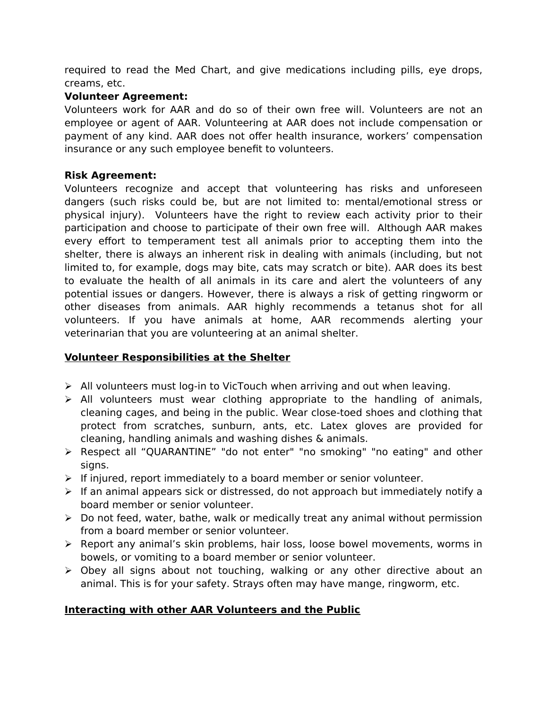required to read the Med Chart, and give medications including pills, eye drops, creams, etc.

#### **Volunteer Agreement:**

Volunteers work for AAR and do so of their own free will. Volunteers are not an employee or agent of AAR. Volunteering at AAR does not include compensation or payment of any kind. AAR does not offer health insurance, workers' compensation insurance or any such employee benefit to volunteers.

#### **Risk Agreement:**

Volunteers recognize and accept that volunteering has risks and unforeseen dangers (such risks could be, but are not limited to: mental/emotional stress or physical injury). Volunteers have the right to review each activity prior to their participation and choose to participate of their own free will. Although AAR makes every effort to temperament test all animals prior to accepting them into the shelter, there is always an inherent risk in dealing with animals (including, but not limited to, for example, dogs may bite, cats may scratch or bite). AAR does its best to evaluate the health of all animals in its care and alert the volunteers of any potential issues or dangers. However, there is always a risk of getting ringworm or other diseases from animals. AAR highly recommends a tetanus shot for all volunteers. If you have animals at home, AAR recommends alerting your veterinarian that you are volunteering at an animal shelter.

#### **Volunteer Responsibilities at the Shelter**

- $\triangleright$  All volunteers must log-in to VicTouch when arriving and out when leaving.
- $\triangleright$  All volunteers must wear clothing appropriate to the handling of animals, cleaning cages, and being in the public. Wear close-toed shoes and clothing that protect from scratches, sunburn, ants, etc. Latex gloves are provided for cleaning, handling animals and washing dishes & animals.
- Respect all "QUARANTINE" "do not enter" "no smoking" "no eating" and other signs.
- $\triangleright$  If injured, report immediately to a board member or senior volunteer.
- $\triangleright$  If an animal appears sick or distressed, do not approach but immediately notify a board member or senior volunteer.
- $\triangleright$  Do not feed, water, bathe, walk or medically treat any animal without permission from a board member or senior volunteer.
- $\triangleright$  Report any animal's skin problems, hair loss, loose bowel movements, worms in bowels, or vomiting to a board member or senior volunteer.
- Obey all signs about not touching, walking or any other directive about an animal. This is for your safety. Strays often may have mange, ringworm, etc.

#### **Interacting with other AAR Volunteers and the Public**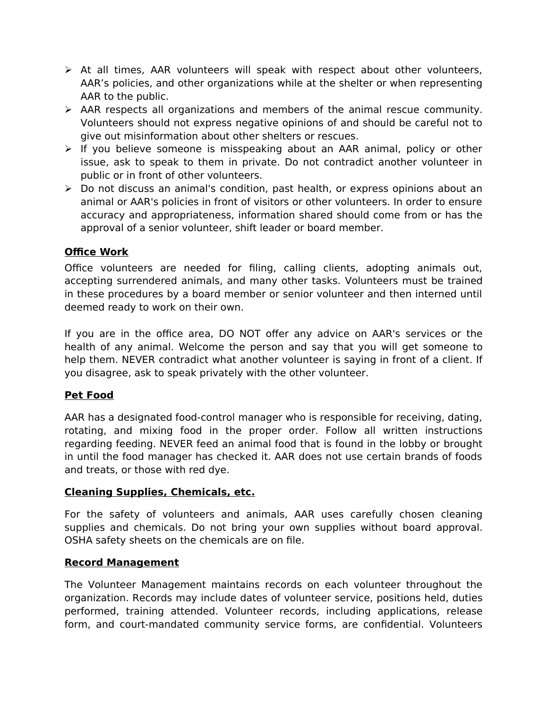- $\triangleright$  At all times, AAR volunteers will speak with respect about other volunteers, AAR's policies, and other organizations while at the shelter or when representing AAR to the public.
- $\triangleright$  AAR respects all organizations and members of the animal rescue community. Volunteers should not express negative opinions of and should be careful not to give out misinformation about other shelters or rescues.
- $\triangleright$  If you believe someone is misspeaking about an AAR animal, policy or other issue, ask to speak to them in private. Do not contradict another volunteer in public or in front of other volunteers.
- Do not discuss an animal's condition, past health, or express opinions about an animal or AAR's policies in front of visitors or other volunteers. In order to ensure accuracy and appropriateness, information shared should come from or has the approval of a senior volunteer, shift leader or board member.

#### **Office Work**

Office volunteers are needed for filing, calling clients, adopting animals out, accepting surrendered animals, and many other tasks. Volunteers must be trained in these procedures by a board member or senior volunteer and then interned until deemed ready to work on their own.

If you are in the office area, DO NOT offer any advice on AAR's services or the health of any animal. Welcome the person and say that you will get someone to help them. NEVER contradict what another volunteer is saying in front of a client. If you disagree, ask to speak privately with the other volunteer.

#### **Pet Food**

AAR has a designated food-control manager who is responsible for receiving, dating, rotating, and mixing food in the proper order. Follow all written instructions regarding feeding. NEVER feed an animal food that is found in the lobby or brought in until the food manager has checked it. AAR does not use certain brands of foods and treats, or those with red dye.

#### **Cleaning Supplies, Chemicals, etc.**

For the safety of volunteers and animals, AAR uses carefully chosen cleaning supplies and chemicals. Do not bring your own supplies without board approval. OSHA safety sheets on the chemicals are on file.

#### **Record Management**

The Volunteer Management maintains records on each volunteer throughout the organization. Records may include dates of volunteer service, positions held, duties performed, training attended. Volunteer records, including applications, release form, and court-mandated community service forms, are confidential. Volunteers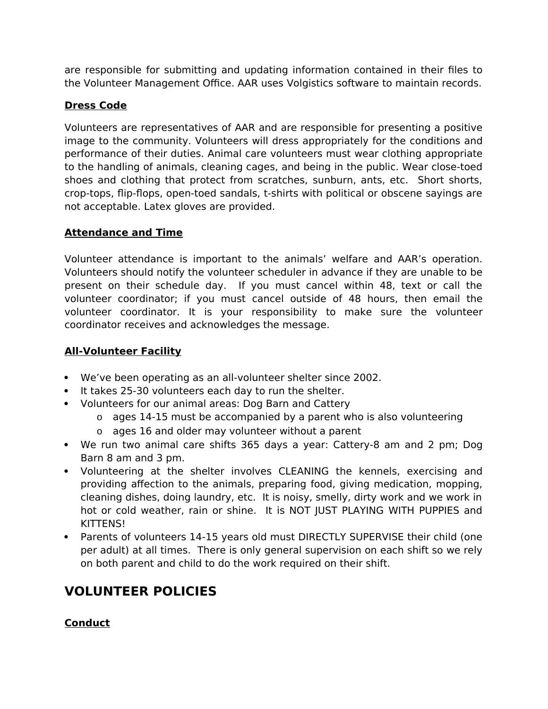are responsible for submitting and updating information contained in their files to the Volunteer Management Office. AAR uses Volgistics software to maintain records.

## **Dress Code**

Volunteers are representatives of AAR and are responsible for presenting a positive image to the community. Volunteers will dress appropriately for the conditions and performance of their duties. Animal care volunteers must wear clothing appropriate to the handling of animals, cleaning cages, and being in the public. Wear close-toed shoes and clothing that protect from scratches, sunburn, ants, etc. Short shorts, crop-tops, flip-flops, open-toed sandals, t-shirts with political or obscene sayings are not acceptable. Latex gloves are provided.

## **Attendance and Time**

Volunteer attendance is important to the animals' welfare and AAR's operation. Volunteers should notify the volunteer scheduler in advance if they are unable to be present on their schedule day. If you must cancel within 48, text or call the volunteer coordinator; if you must cancel outside of 48 hours, then email the volunteer coordinator. It is your responsibility to make sure the volunteer coordinator receives and acknowledges the message.

## **All-Volunteer Facility**

- We've been operating as an all-volunteer shelter since 2002.
- It takes 25-30 volunteers each day to run the shelter.
- Volunteers for our animal areas: Dog Barn and Cattery
	- o ages 14-15 must be accompanied by a parent who is also volunteering
	- o ages 16 and older may volunteer without a parent
- We run two animal care shifts 365 days a year: Cattery-8 am and 2 pm; Dog Barn 8 am and 3 pm.
- Volunteering at the shelter involves CLEANING the kennels, exercising and providing affection to the animals, preparing food, giving medication, mopping, cleaning dishes, doing laundry, etc. It is noisy, smelly, dirty work and we work in hot or cold weather, rain or shine. It is NOT JUST PLAYING WITH PUPPIES and KITTENS!
- Parents of volunteers 14-15 years old must DIRECTLY SUPERVISE their child (one per adult) at all times. There is only general supervision on each shift so we rely on both parent and child to do the work required on their shift.

# **VOLUNTEER POLICIES**

## **Conduct**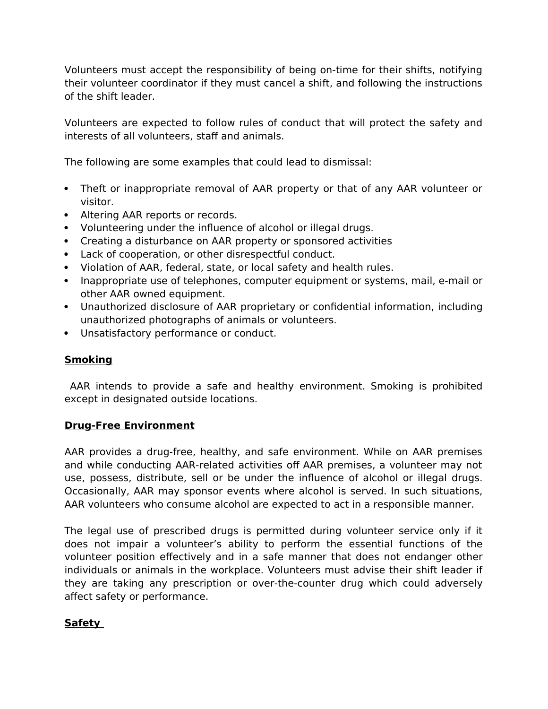Volunteers must accept the responsibility of being on-time for their shifts, notifying their volunteer coordinator if they must cancel a shift, and following the instructions of the shift leader.

Volunteers are expected to follow rules of conduct that will protect the safety and interests of all volunteers, staff and animals.

The following are some examples that could lead to dismissal:

- Theft or inappropriate removal of AAR property or that of any AAR volunteer or visitor.
- Altering AAR reports or records.
- Volunteering under the influence of alcohol or illegal drugs.
- Creating a disturbance on AAR property or sponsored activities
- Lack of cooperation, or other disrespectful conduct.
- Violation of AAR, federal, state, or local safety and health rules.
- Inappropriate use of telephones, computer equipment or systems, mail, e-mail or other AAR owned equipment.
- Unauthorized disclosure of AAR proprietary or confidential information, including unauthorized photographs of animals or volunteers.
- Unsatisfactory performance or conduct.

#### **Smoking**

 AAR intends to provide a safe and healthy environment. Smoking is prohibited except in designated outside locations.

#### **Drug-Free Environment**

AAR provides a drug-free, healthy, and safe environment. While on AAR premises and while conducting AAR-related activities off AAR premises, a volunteer may not use, possess, distribute, sell or be under the influence of alcohol or illegal drugs. Occasionally, AAR may sponsor events where alcohol is served. In such situations, AAR volunteers who consume alcohol are expected to act in a responsible manner.

The legal use of prescribed drugs is permitted during volunteer service only if it does not impair a volunteer's ability to perform the essential functions of the volunteer position effectively and in a safe manner that does not endanger other individuals or animals in the workplace. Volunteers must advise their shift leader if they are taking any prescription or over-the-counter drug which could adversely affect safety or performance.

#### **Safety**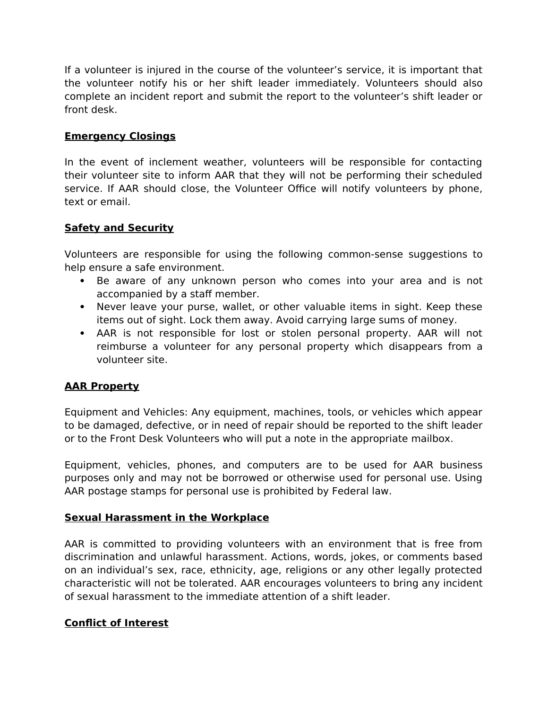If a volunteer is injured in the course of the volunteer's service, it is important that the volunteer notify his or her shift leader immediately. Volunteers should also complete an incident report and submit the report to the volunteer's shift leader or front desk.

### **Emergency Closings**

In the event of inclement weather, volunteers will be responsible for contacting their volunteer site to inform AAR that they will not be performing their scheduled service. If AAR should close, the Volunteer Office will notify volunteers by phone, text or email.

## **Safety and Security**

Volunteers are responsible for using the following common-sense suggestions to help ensure a safe environment.

- Be aware of any unknown person who comes into your area and is not accompanied by a staff member.
- Never leave your purse, wallet, or other valuable items in sight. Keep these items out of sight. Lock them away. Avoid carrying large sums of money.
- AAR is not responsible for lost or stolen personal property. AAR will not reimburse a volunteer for any personal property which disappears from a volunteer site.

## **AAR Property**

Equipment and Vehicles: Any equipment, machines, tools, or vehicles which appear to be damaged, defective, or in need of repair should be reported to the shift leader or to the Front Desk Volunteers who will put a note in the appropriate mailbox.

Equipment, vehicles, phones, and computers are to be used for AAR business purposes only and may not be borrowed or otherwise used for personal use. Using AAR postage stamps for personal use is prohibited by Federal law.

#### **Sexual Harassment in the Workplace**

AAR is committed to providing volunteers with an environment that is free from discrimination and unlawful harassment. Actions, words, jokes, or comments based on an individual's sex, race, ethnicity, age, religions or any other legally protected characteristic will not be tolerated. AAR encourages volunteers to bring any incident of sexual harassment to the immediate attention of a shift leader.

#### **Conflict of Interest**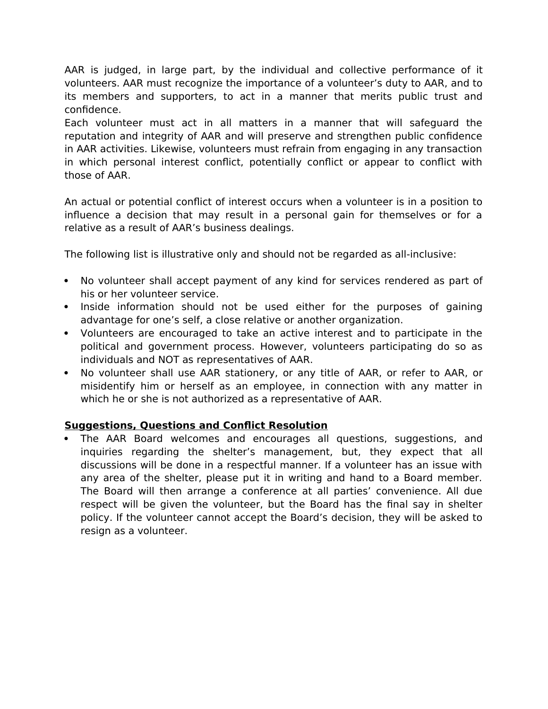AAR is judged, in large part, by the individual and collective performance of it volunteers. AAR must recognize the importance of a volunteer's duty to AAR, and to its members and supporters, to act in a manner that merits public trust and confidence.

Each volunteer must act in all matters in a manner that will safeguard the reputation and integrity of AAR and will preserve and strengthen public confidence in AAR activities. Likewise, volunteers must refrain from engaging in any transaction in which personal interest conflict, potentially conflict or appear to conflict with those of AAR.

An actual or potential conflict of interest occurs when a volunteer is in a position to influence a decision that may result in a personal gain for themselves or for a relative as a result of AAR's business dealings.

The following list is illustrative only and should not be regarded as all-inclusive:

- No volunteer shall accept payment of any kind for services rendered as part of his or her volunteer service.
- Inside information should not be used either for the purposes of gaining advantage for one's self, a close relative or another organization.
- Volunteers are encouraged to take an active interest and to participate in the political and government process. However, volunteers participating do so as individuals and NOT as representatives of AAR.
- No volunteer shall use AAR stationery, or any title of AAR, or refer to AAR, or misidentify him or herself as an employee, in connection with any matter in which he or she is not authorized as a representative of AAR.

#### **Suggestions, Questions and Conflict Resolution**

 The AAR Board welcomes and encourages all questions, suggestions, and inquiries regarding the shelter's management, but, they expect that all discussions will be done in a respectful manner. If a volunteer has an issue with any area of the shelter, please put it in writing and hand to a Board member. The Board will then arrange a conference at all parties' convenience. All due respect will be given the volunteer, but the Board has the final say in shelter policy. If the volunteer cannot accept the Board's decision, they will be asked to resign as a volunteer.